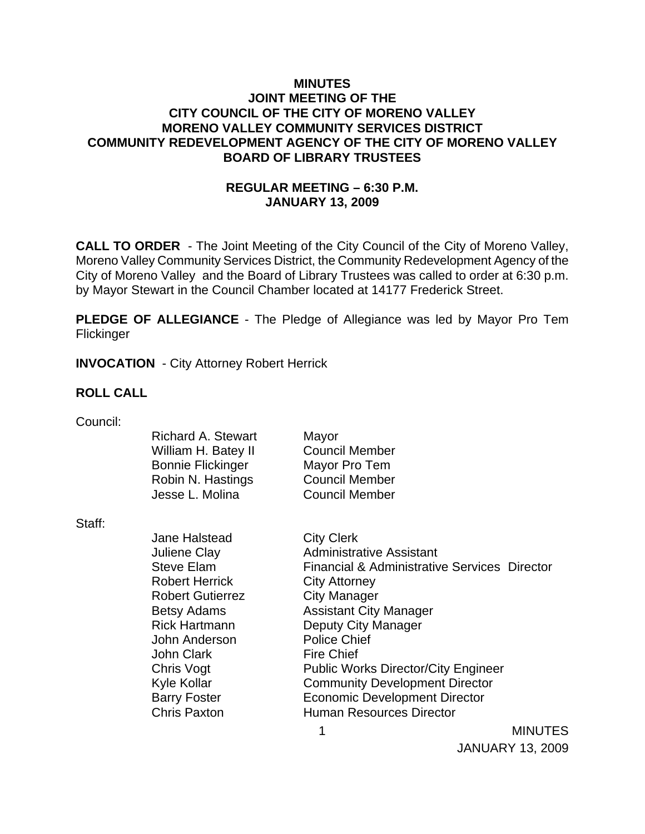## **MINUTES JOINT MEETING OF THE CITY COUNCIL OF THE CITY OF MORENO VALLEY MORENO VALLEY COMMUNITY SERVICES DISTRICT COMMUNITY REDEVELOPMENT AGENCY OF THE CITY OF MORENO VALLEY BOARD OF LIBRARY TRUSTEES**

## **REGULAR MEETING – 6:30 P.M. JANUARY 13, 2009**

**CALL TO ORDER** - The Joint Meeting of the City Council of the City of Moreno Valley, Moreno Valley Community Services District, the Community Redevelopment Agency of the City of Moreno Valley and the Board of Library Trustees was called to order at 6:30 p.m. by Mayor Stewart in the Council Chamber located at 14177 Frederick Street.

**PLEDGE OF ALLEGIANCE** - The Pledge of Allegiance was led by Mayor Pro Tem **Flickinger** 

**INVOCATION** - City Attorney Robert Herrick

## **ROLL CALL**

| Council: |  |
|----------|--|
|          |  |

|        | <b>Richard A. Stewart</b><br>William H. Batey II<br><b>Bonnie Flickinger</b><br>Robin N. Hastings<br>Jesse L. Molina | Mayor<br><b>Council Member</b><br>Mayor Pro Tem<br><b>Council Member</b><br><b>Council Member</b> |                |
|--------|----------------------------------------------------------------------------------------------------------------------|---------------------------------------------------------------------------------------------------|----------------|
| Staff: |                                                                                                                      |                                                                                                   |                |
|        | <b>Jane Halstead</b>                                                                                                 | <b>City Clerk</b>                                                                                 |                |
|        | <b>Juliene Clay</b>                                                                                                  | <b>Administrative Assistant</b>                                                                   |                |
|        | Steve Elam                                                                                                           | <b>Financial &amp; Administrative Services Director</b>                                           |                |
|        | <b>Robert Herrick</b>                                                                                                | <b>City Attorney</b>                                                                              |                |
|        | <b>Robert Gutierrez</b>                                                                                              | <b>City Manager</b>                                                                               |                |
|        | <b>Betsy Adams</b>                                                                                                   | <b>Assistant City Manager</b>                                                                     |                |
|        | <b>Rick Hartmann</b>                                                                                                 | Deputy City Manager                                                                               |                |
|        | John Anderson                                                                                                        | <b>Police Chief</b>                                                                               |                |
|        | <b>John Clark</b>                                                                                                    | <b>Fire Chief</b>                                                                                 |                |
|        | Chris Vogt                                                                                                           | <b>Public Works Director/City Engineer</b>                                                        |                |
|        | Kyle Kollar                                                                                                          | <b>Community Development Director</b>                                                             |                |
|        | <b>Barry Foster</b>                                                                                                  | <b>Economic Development Director</b>                                                              |                |
|        | <b>Chris Paxton</b>                                                                                                  | <b>Human Resources Director</b>                                                                   |                |
|        |                                                                                                                      |                                                                                                   | <b>MINUTES</b> |

JANUARY 13, 2009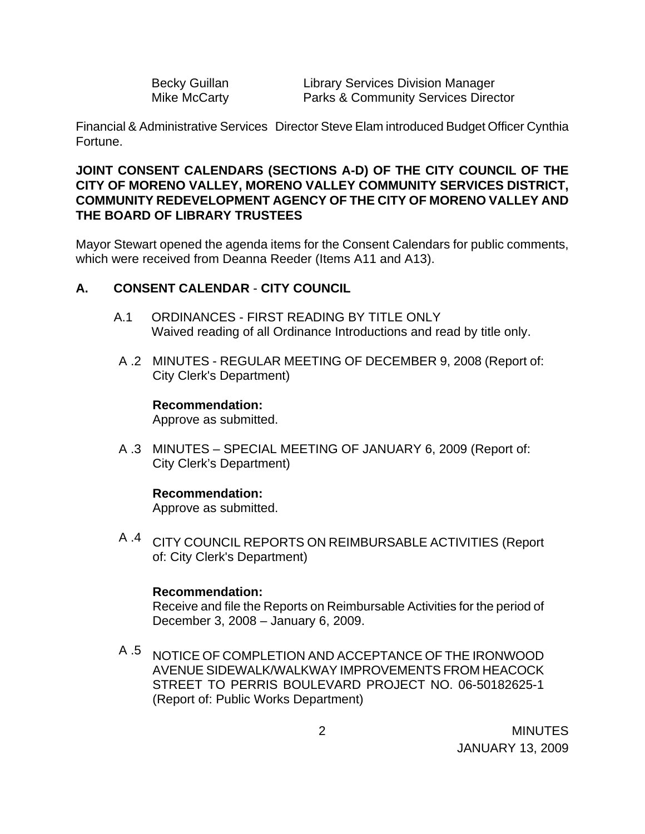| <b>Becky Guillan</b> |
|----------------------|
| <b>Mike McCarty</b>  |

Library Services Division Manager Parks & Community Services Director

Financial & Administrative Services Director Steve Elam introduced Budget Officer Cynthia Fortune.

## **JOINT CONSENT CALENDARS (SECTIONS A-D) OF THE CITY COUNCIL OF THE CITY OF MORENO VALLEY, MORENO VALLEY COMMUNITY SERVICES DISTRICT, COMMUNITY REDEVELOPMENT AGENCY OF THE CITY OF MORENO VALLEY AND THE BOARD OF LIBRARY TRUSTEES**

Mayor Stewart opened the agenda items for the Consent Calendars for public comments, which were received from Deanna Reeder (Items A11 and A13).

## **A. CONSENT CALENDAR** - **CITY COUNCIL**

- A.1 ORDINANCES FIRST READING BY TITLE ONLY Waived reading of all Ordinance Introductions and read by title only.
- A .2 MINUTES REGULAR MEETING OF DECEMBER 9, 2008 (Report of: City Clerk's Department)

#### **Recommendation:**

Approve as submitted.

A .3 MINUTES – SPECIAL MEETING OF JANUARY 6, 2009 (Report of: City Clerk's Department)

## **Recommendation:**

Approve as submitted.

A .4 CITY COUNCIL REPORTS ON REIMBURSABLE ACTIVITIES (Report of: City Clerk's Department)

#### **Recommendation:**

Receive and file the Reports on Reimbursable Activities for the period of December 3, 2008 – January 6, 2009.

A .5 NOTICE OF COMPLETION AND ACCEPTANCE OF THE IRONWOOD AVENUE SIDEWALK/WALKWAY IMPROVEMENTS FROM HEACOCK STREET TO PERRIS BOULEVARD PROJECT NO. 06-50182625-1 (Report of: Public Works Department)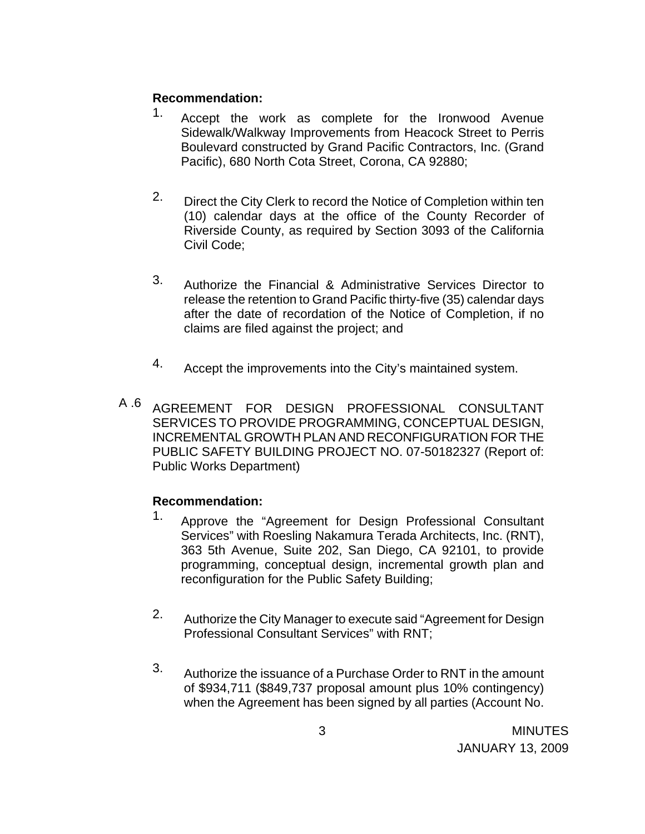## **Recommendation:**

- 1. Accept the work as complete for the Ironwood Avenue Sidewalk/Walkway Improvements from Heacock Street to Perris Boulevard constructed by Grand Pacific Contractors, Inc. (Grand Pacific), 680 North Cota Street, Corona, CA 92880;
- 2. Direct the City Clerk to record the Notice of Completion within ten (10) calendar days at the office of the County Recorder of Riverside County, as required by Section 3093 of the California Civil Code;
- 3. Authorize the Financial & Administrative Services Director to release the retention to Grand Pacific thirty-five (35) calendar days after the date of recordation of the Notice of Completion, if no claims are filed against the project; and
- 4. Accept the improvements into the City's maintained system.
- A .6 AGREEMENT FOR DESIGN PROFESSIONAL CONSULTANT SERVICES TO PROVIDE PROGRAMMING, CONCEPTUAL DESIGN, INCREMENTAL GROWTH PLAN AND RECONFIGURATION FOR THE PUBLIC SAFETY BUILDING PROJECT NO. 07-50182327 (Report of: Public Works Department)

- 1. Approve the "Agreement for Design Professional Consultant Services" with Roesling Nakamura Terada Architects, Inc. (RNT), 363 5th Avenue, Suite 202, San Diego, CA 92101, to provide programming, conceptual design, incremental growth plan and reconfiguration for the Public Safety Building;
- 2. Authorize the City Manager to execute said "Agreement for Design Professional Consultant Services" with RNT;
- 3. Authorize the issuance of a Purchase Order to RNT in the amount of \$934,711 (\$849,737 proposal amount plus 10% contingency) when the Agreement has been signed by all parties (Account No.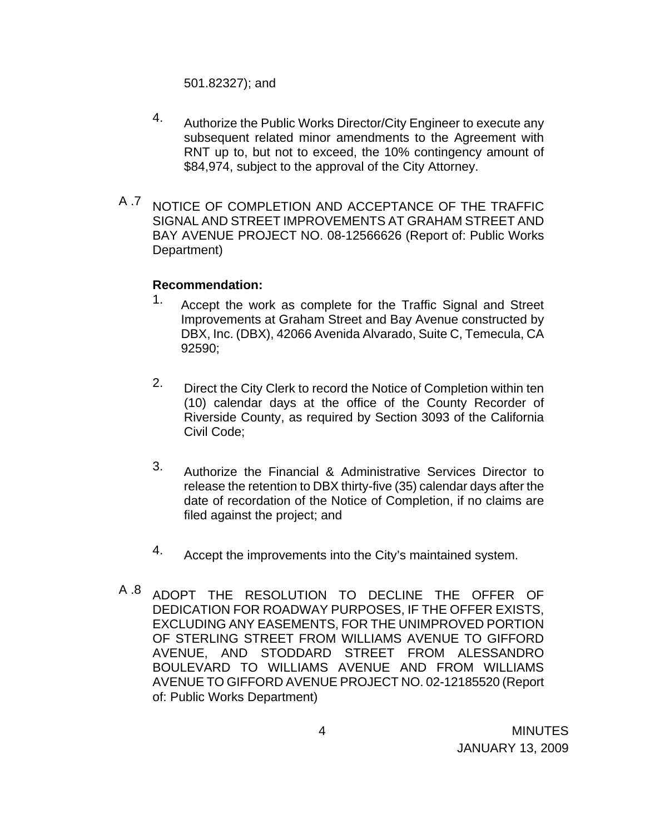501.82327); and

- 4. Authorize the Public Works Director/City Engineer to execute any subsequent related minor amendments to the Agreement with RNT up to, but not to exceed, the 10% contingency amount of \$84,974, subject to the approval of the City Attorney.
- A .7 NOTICE OF COMPLETION AND ACCEPTANCE OF THE TRAFFIC SIGNAL AND STREET IMPROVEMENTS AT GRAHAM STREET AND BAY AVENUE PROJECT NO. 08-12566626 (Report of: Public Works Department)

- 1. Accept the work as complete for the Traffic Signal and Street Improvements at Graham Street and Bay Avenue constructed by DBX, Inc. (DBX), 42066 Avenida Alvarado, Suite C, Temecula, CA 92590;
- 2. Direct the City Clerk to record the Notice of Completion within ten (10) calendar days at the office of the County Recorder of Riverside County, as required by Section 3093 of the California Civil Code;
- 3. Authorize the Financial & Administrative Services Director to release the retention to DBX thirty-five (35) calendar days after the date of recordation of the Notice of Completion, if no claims are filed against the project; and
- 4. Accept the improvements into the City's maintained system.
- A .8 ADOPT THE RESOLUTION TO DECLINE THE OFFER OF DEDICATION FOR ROADWAY PURPOSES, IF THE OFFER EXISTS, EXCLUDING ANY EASEMENTS, FOR THE UNIMPROVED PORTION OF STERLING STREET FROM WILLIAMS AVENUE TO GIFFORD AVENUE, AND STODDARD STREET FROM ALESSANDRO BOULEVARD TO WILLIAMS AVENUE AND FROM WILLIAMS AVENUE TO GIFFORD AVENUE PROJECT NO. 02-12185520 (Report of: Public Works Department)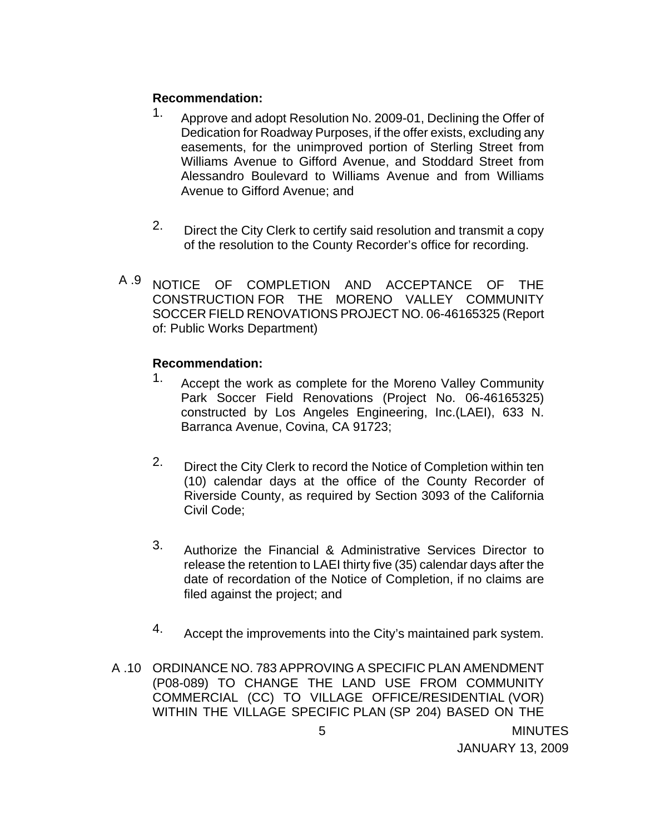## **Recommendation:**

- 1. Approve and adopt Resolution No. 2009-01, Declining the Offer of Dedication for Roadway Purposes, if the offer exists, excluding any easements, for the unimproved portion of Sterling Street from Williams Avenue to Gifford Avenue, and Stoddard Street from Alessandro Boulevard to Williams Avenue and from Williams Avenue to Gifford Avenue; and
- 2. Direct the City Clerk to certify said resolution and transmit a copy of the resolution to the County Recorder's office for recording.
- A .9 NOTICE OF COMPLETION AND ACCEPTANCE OF THE CONSTRUCTION FOR THE MORENO VALLEY COMMUNITY SOCCER FIELD RENOVATIONS PROJECT NO. 06-46165325 (Report of: Public Works Department)

- 1. Accept the work as complete for the Moreno Valley Community Park Soccer Field Renovations (Project No. 06-46165325) constructed by Los Angeles Engineering, Inc.(LAEI), 633 N. Barranca Avenue, Covina, CA 91723;
- 2. Direct the City Clerk to record the Notice of Completion within ten (10) calendar days at the office of the County Recorder of Riverside County, as required by Section 3093 of the California Civil Code;
- 3. Authorize the Financial & Administrative Services Director to release the retention to LAEI thirty five (35) calendar days after the date of recordation of the Notice of Completion, if no claims are filed against the project; and
- 4. Accept the improvements into the City's maintained park system.
- A .10 ORDINANCE NO. 783 APPROVING A SPECIFIC PLAN AMENDMENT (P08-089) TO CHANGE THE LAND USE FROM COMMUNITY COMMERCIAL (CC) TO VILLAGE OFFICE/RESIDENTIAL (VOR) WITHIN THE VILLAGE SPECIFIC PLAN (SP 204) BASED ON THE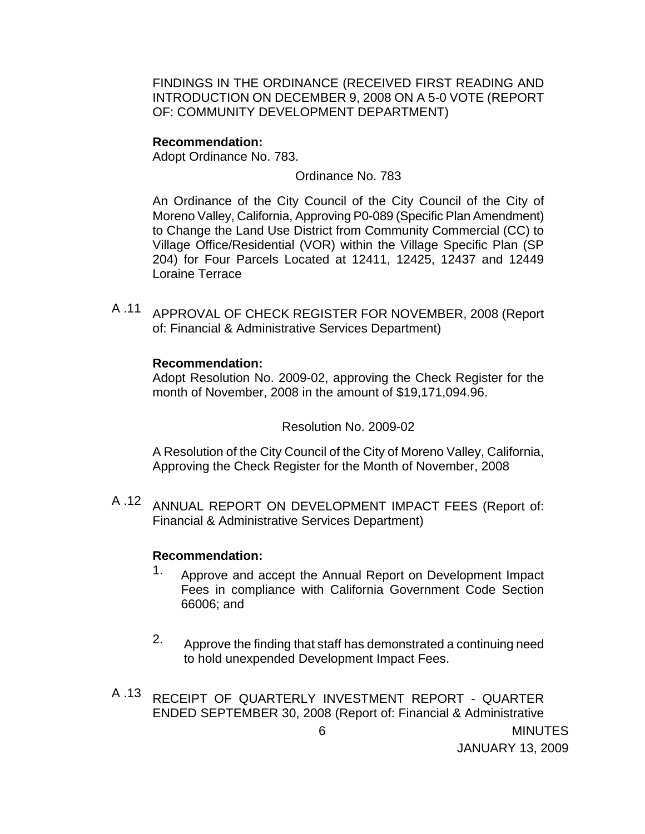FINDINGS IN THE ORDINANCE (RECEIVED FIRST READING AND INTRODUCTION ON DECEMBER 9, 2008 ON A 5-0 VOTE (REPORT OF: COMMUNITY DEVELOPMENT DEPARTMENT)

#### **Recommendation:**

Adopt Ordinance No. 783.

Ordinance No. 783

An Ordinance of the City Council of the City Council of the City of Moreno Valley, California, Approving P0-089 (Specific Plan Amendment) to Change the Land Use District from Community Commercial (CC) to Village Office/Residential (VOR) within the Village Specific Plan (SP 204) for Four Parcels Located at 12411, 12425, 12437 and 12449 Loraine Terrace

A .11 APPROVAL OF CHECK REGISTER FOR NOVEMBER, 2008 (Report of: Financial & Administrative Services Department)

#### **Recommendation:**

Adopt Resolution No. 2009-02, approving the Check Register for the month of November, 2008 in the amount of \$19,171,094.96.

## Resolution No. 2009-02

A Resolution of the City Council of the City of Moreno Valley, California, Approving the Check Register for the Month of November, 2008

A .12 ANNUAL REPORT ON DEVELOPMENT IMPACT FEES (Report of: Financial & Administrative Services Department)

- 1. Approve and accept the Annual Report on Development Impact Fees in compliance with California Government Code Section 66006; and
- 2. Approve the finding that staff has demonstrated a continuing need to hold unexpended Development Impact Fees.
- A .13 RECEIPT OF QUARTERLY INVESTMENT REPORT QUARTER ENDED SEPTEMBER 30, 2008 (Report of: Financial & Administrative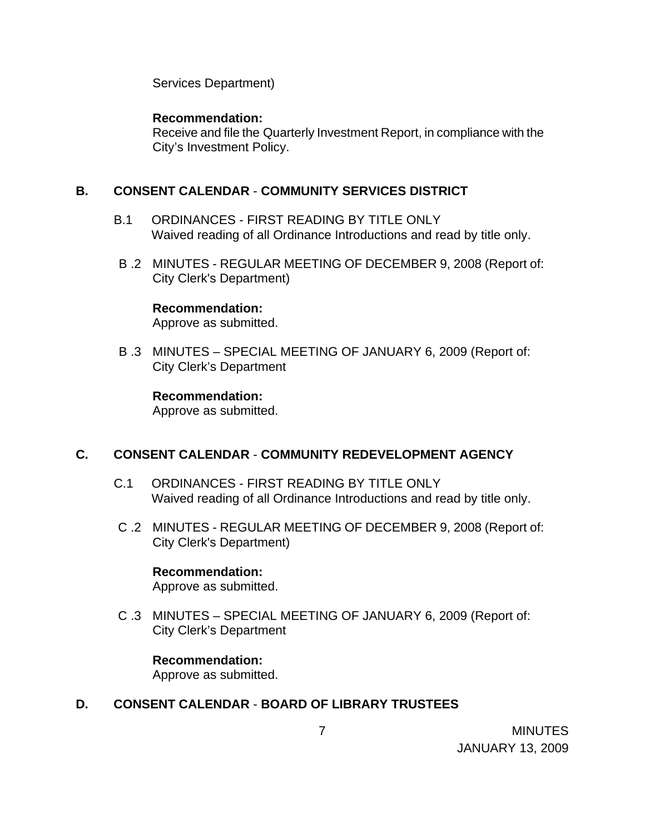Services Department)

### **Recommendation:**

Receive and file the Quarterly Investment Report, in compliance with the City's Investment Policy.

## **B. CONSENT CALENDAR** - **COMMUNITY SERVICES DISTRICT**

- B.1 ORDINANCES FIRST READING BY TITLE ONLY Waived reading of all Ordinance Introductions and read by title only.
- B .2 MINUTES REGULAR MEETING OF DECEMBER 9, 2008 (Report of: City Clerk's Department)

#### **Recommendation:**

Approve as submitted.

B .3 MINUTES – SPECIAL MEETING OF JANUARY 6, 2009 (Report of: City Clerk's Department

#### **Recommendation:**

Approve as submitted.

## **C. CONSENT CALENDAR** - **COMMUNITY REDEVELOPMENT AGENCY**

- C.1 ORDINANCES FIRST READING BY TITLE ONLY Waived reading of all Ordinance Introductions and read by title only.
- C .2 MINUTES REGULAR MEETING OF DECEMBER 9, 2008 (Report of: City Clerk's Department)

## **Recommendation:**

Approve as submitted.

C .3 MINUTES – SPECIAL MEETING OF JANUARY 6, 2009 (Report of: City Clerk's Department

## **Recommendation:**

Approve as submitted.

## **D. CONSENT CALENDAR** - **BOARD OF LIBRARY TRUSTEES**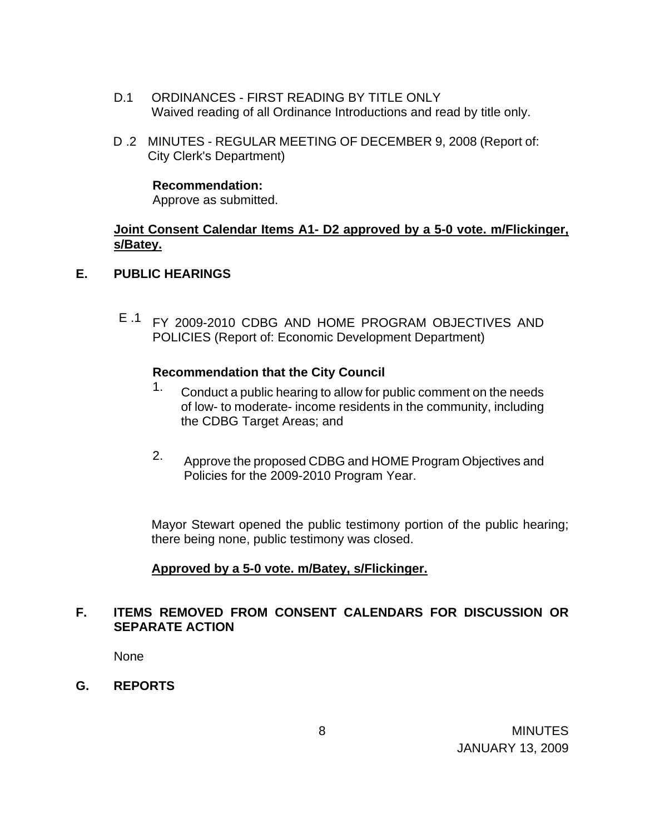- D.1 ORDINANCES FIRST READING BY TITLE ONLY Waived reading of all Ordinance Introductions and read by title only.
- D .2 MINUTES REGULAR MEETING OF DECEMBER 9, 2008 (Report of: City Clerk's Department)

## **Recommendation:**

Approve as submitted.

## **Joint Consent Calendar Items A1- D2 approved by a 5-0 vote. m/Flickinger, s/Batey.**

## **E. PUBLIC HEARINGS**

E .1 FY 2009-2010 CDBG AND HOME PROGRAM OBJECTIVES AND POLICIES (Report of: Economic Development Department)

## **Recommendation that the City Council**

- 1. Conduct a public hearing to allow for public comment on the needs of low- to moderate- income residents in the community, including the CDBG Target Areas; and
- 2. Approve the proposed CDBG and HOME Program Objectives and Policies for the 2009-2010 Program Year.

 Mayor Stewart opened the public testimony portion of the public hearing; there being none, public testimony was closed.

# **Approved by a 5-0 vote. m/Batey, s/Flickinger.**

# **F. ITEMS REMOVED FROM CONSENT CALENDARS FOR DISCUSSION OR SEPARATE ACTION**

None

**G. REPORTS**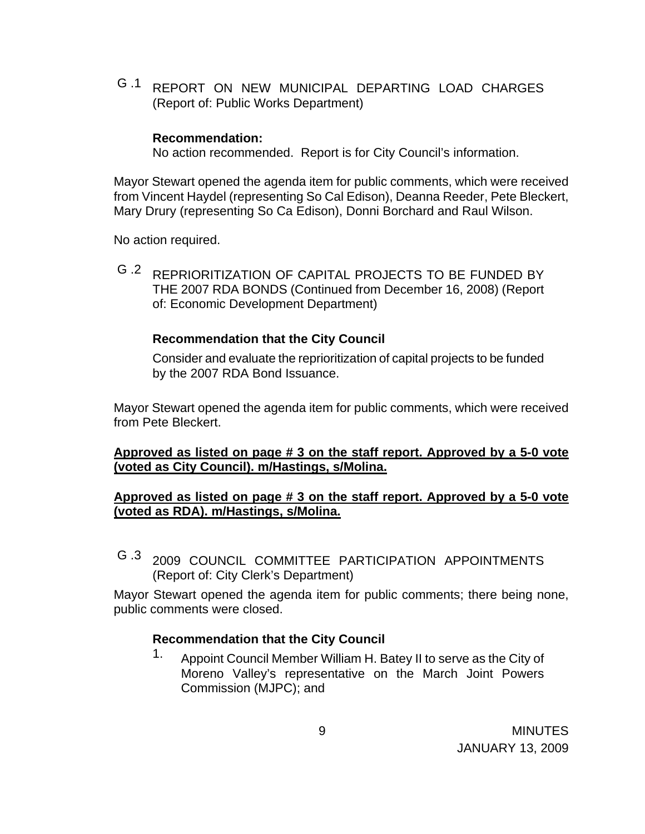G .1 REPORT ON NEW MUNICIPAL DEPARTING LOAD CHARGES (Report of: Public Works Department)

#### **Recommendation:**

No action recommended. Report is for City Council's information.

Mayor Stewart opened the agenda item for public comments, which were received from Vincent Haydel (representing So Cal Edison), Deanna Reeder, Pete Bleckert, Mary Drury (representing So Ca Edison), Donni Borchard and Raul Wilson.

No action required.

G .2 REPRIORITIZATION OF CAPITAL PROJECTS TO BE FUNDED BY THE 2007 RDA BONDS (Continued from December 16, 2008) (Report of: Economic Development Department)

#### **Recommendation that the City Council**

Consider and evaluate the reprioritization of capital projects to be funded by the 2007 RDA Bond Issuance.

Mayor Stewart opened the agenda item for public comments, which were received from Pete Bleckert.

**Approved as listed on page # 3 on the staff report. Approved by a 5-0 vote (voted as City Council). m/Hastings, s/Molina.**

#### **Approved as listed on page # 3 on the staff report. Approved by a 5-0 vote (voted as RDA). m/Hastings, s/Molina.**

G .3 2009 COUNCIL COMMITTEE PARTICIPATION APPOINTMENTS (Report of: City Clerk's Department)

Mayor Stewart opened the agenda item for public comments; there being none, public comments were closed.

#### **Recommendation that the City Council**

1. Appoint Council Member William H. Batey II to serve as the City of Moreno Valley's representative on the March Joint Powers Commission (MJPC); and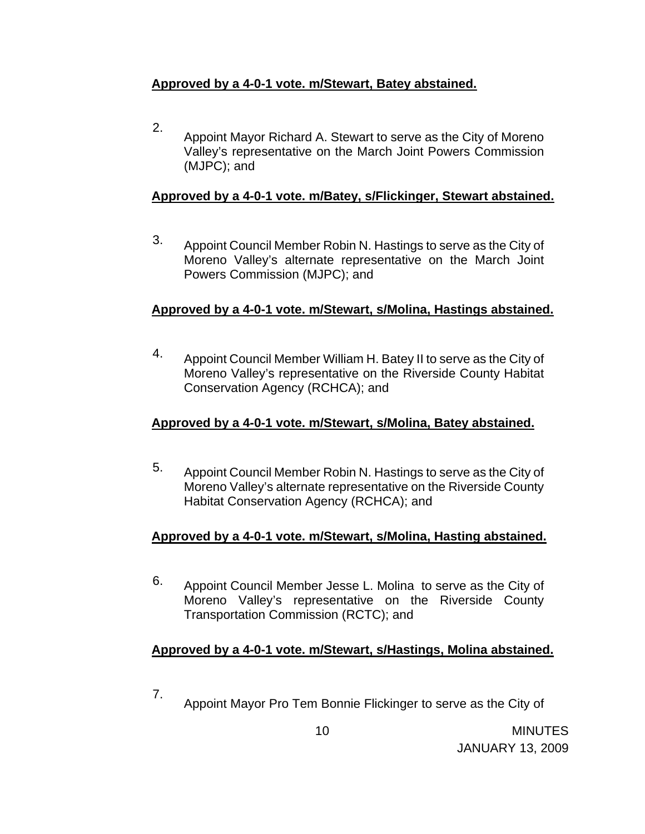# **Approved by a 4-0-1 vote. m/Stewart, Batey abstained.**

2. Appoint Mayor Richard A. Stewart to serve as the City of Moreno Valley's representative on the March Joint Powers Commission (MJPC); and

# **Approved by a 4-0-1 vote. m/Batey, s/Flickinger, Stewart abstained.**

3. Appoint Council Member Robin N. Hastings to serve as the City of Moreno Valley's alternate representative on the March Joint Powers Commission (MJPC); and

# **Approved by a 4-0-1 vote. m/Stewart, s/Molina, Hastings abstained.**

4. Appoint Council Member William H. Batey II to serve as the City of Moreno Valley's representative on the Riverside County Habitat Conservation Agency (RCHCA); and

# **Approved by a 4-0-1 vote. m/Stewart, s/Molina, Batey abstained.**

5. Appoint Council Member Robin N. Hastings to serve as the City of Moreno Valley's alternate representative on the Riverside County Habitat Conservation Agency (RCHCA); and

# **Approved by a 4-0-1 vote. m/Stewart, s/Molina, Hasting abstained.**

6. Appoint Council Member Jesse L. Molina to serve as the City of Moreno Valley's representative on the Riverside County Transportation Commission (RCTC); and

# **Approved by a 4-0-1 vote. m/Stewart, s/Hastings, Molina abstained.**

7. Appoint Mayor Pro Tem Bonnie Flickinger to serve as the City of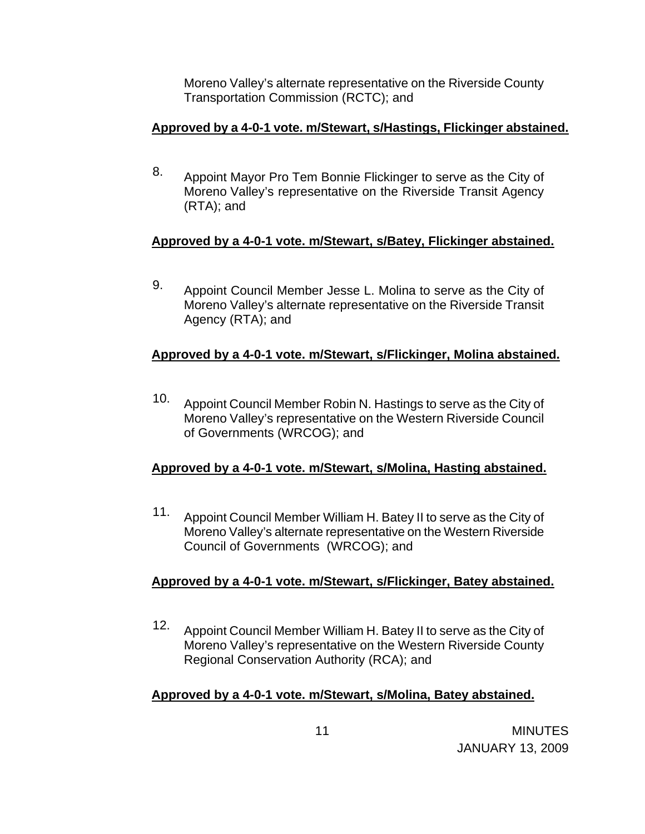Moreno Valley's alternate representative on the Riverside County Transportation Commission (RCTC); and

# **Approved by a 4-0-1 vote. m/Stewart, s/Hastings, Flickinger abstained.**

8. Appoint Mayor Pro Tem Bonnie Flickinger to serve as the City of Moreno Valley's representative on the Riverside Transit Agency (RTA); and

# **Approved by a 4-0-1 vote. m/Stewart, s/Batey, Flickinger abstained.**

9. Appoint Council Member Jesse L. Molina to serve as the City of Moreno Valley's alternate representative on the Riverside Transit Agency (RTA); and

# **Approved by a 4-0-1 vote. m/Stewart, s/Flickinger, Molina abstained.**

10. Appoint Council Member Robin N. Hastings to serve as the City of Moreno Valley's representative on the Western Riverside Council of Governments (WRCOG); and

# **Approved by a 4-0-1 vote. m/Stewart, s/Molina, Hasting abstained.**

11. Appoint Council Member William H. Batey II to serve as the City of Moreno Valley's alternate representative on the Western Riverside Council of Governments (WRCOG); and

# **Approved by a 4-0-1 vote. m/Stewart, s/Flickinger, Batey abstained.**

12. Appoint Council Member William H. Batey II to serve as the City of Moreno Valley's representative on the Western Riverside County Regional Conservation Authority (RCA); and

# **Approved by a 4-0-1 vote. m/Stewart, s/Molina, Batey abstained.**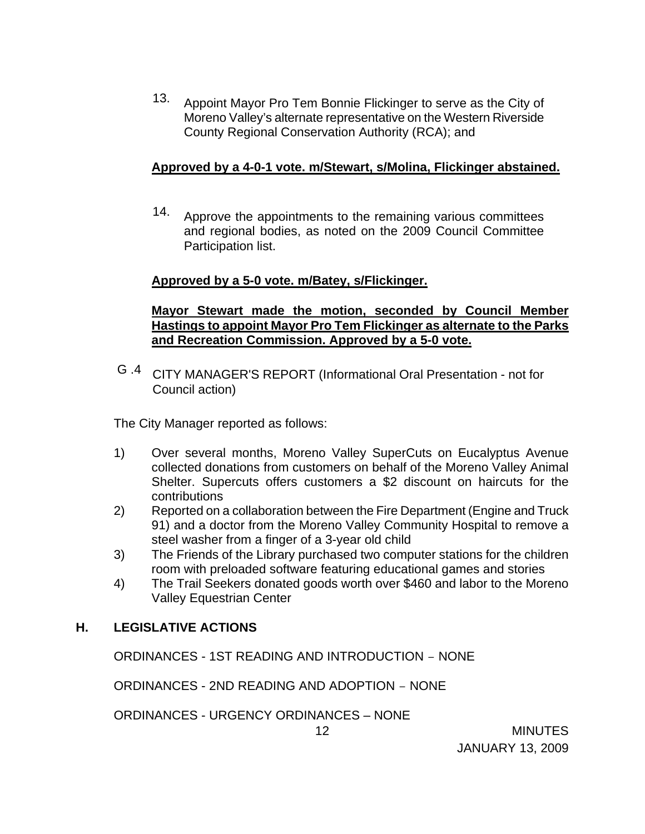13. Appoint Mayor Pro Tem Bonnie Flickinger to serve as the City of Moreno Valley's alternate representative on the Western Riverside County Regional Conservation Authority (RCA); and

# **Approved by a 4-0-1 vote. m/Stewart, s/Molina, Flickinger abstained.**

14. Approve the appointments to the remaining various committees and regional bodies, as noted on the 2009 Council Committee Participation list.

# **Approved by a 5-0 vote. m/Batey, s/Flickinger.**

## **Mayor Stewart made the motion, seconded by Council Member Hastings to appoint Mayor Pro Tem Flickinger as alternate to the Parks and Recreation Commission. Approved by a 5-0 vote.**

G .4 CITY MANAGER'S REPORT (Informational Oral Presentation - not for Council action)

The City Manager reported as follows:

- 1) Over several months, Moreno Valley SuperCuts on Eucalyptus Avenue collected donations from customers on behalf of the Moreno Valley Animal Shelter. Supercuts offers customers a \$2 discount on haircuts for the contributions
- 2) Reported on a collaboration between the Fire Department (Engine and Truck 91) and a doctor from the Moreno Valley Community Hospital to remove a steel washer from a finger of a 3-year old child
- 3) The Friends of the Library purchased two computer stations for the children room with preloaded software featuring educational games and stories
- 4) The Trail Seekers donated goods worth over \$460 and labor to the Moreno Valley Equestrian Center

# **H. LEGISLATIVE ACTIONS**

ORDINANCES - 1ST READING AND INTRODUCTION – NONE

ORDINANCES - 2ND READING AND ADOPTION – NONE

ORDINANCES - URGENCY ORDINANCES – NONE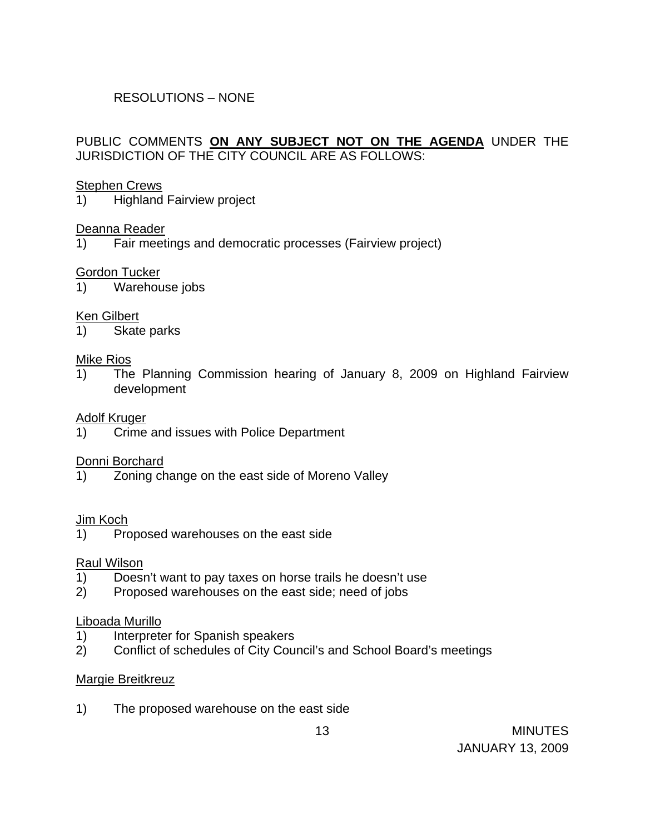# RESOLUTIONS – NONE

# PUBLIC COMMENTS **ON ANY SUBJECT NOT ON THE AGENDA** UNDER THE JURISDICTION OF THE CITY COUNCIL ARE AS FOLLOWS:

### Stephen Crews

1) Highland Fairview project

## Deanna Reader

1) Fair meetings and democratic processes (Fairview project)

## Gordon Tucker

1) Warehouse jobs

## Ken Gilbert

1) Skate parks

#### Mike Rios

1) The Planning Commission hearing of January 8, 2009 on Highland Fairview development

### Adolf Kruger

1) Crime and issues with Police Department

## Donni Borchard

1) Zoning change on the east side of Moreno Valley

## Jim Koch

1) Proposed warehouses on the east side

#### Raul Wilson

- 1) Doesn't want to pay taxes on horse trails he doesn't use
- 2) Proposed warehouses on the east side; need of jobs

#### Liboada Murillo

- 1) Interpreter for Spanish speakers
- 2) Conflict of schedules of City Council's and School Board's meetings

## Margie Breitkreuz

1) The proposed warehouse on the east side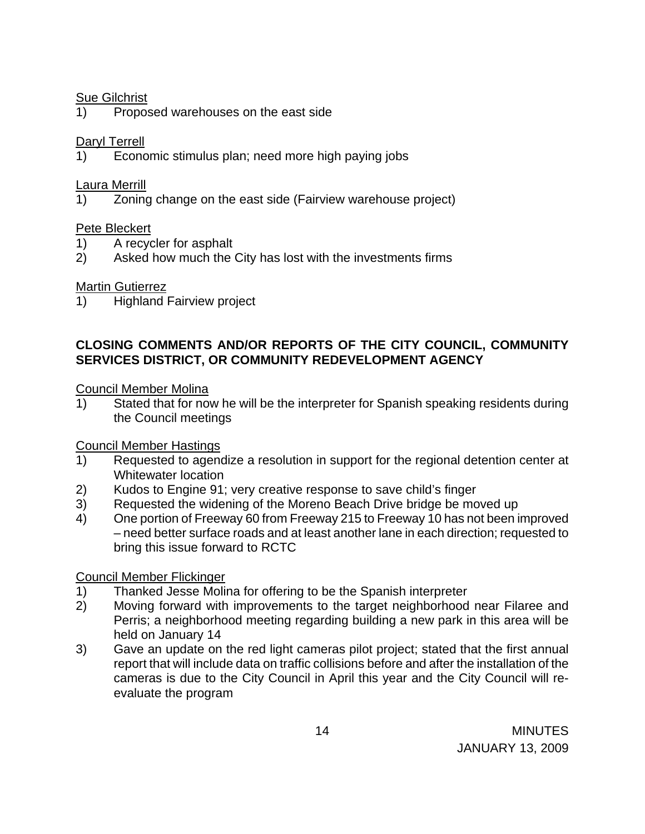## Sue Gilchrist

1) Proposed warehouses on the east side

## Daryl Terrell

1) Economic stimulus plan; need more high paying jobs

## Laura Merrill

1) Zoning change on the east side (Fairview warehouse project)

## Pete Bleckert

- 1) A recycler for asphalt
- 2) Asked how much the City has lost with the investments firms

## Martin Gutierrez

1) Highland Fairview project

## **CLOSING COMMENTS AND/OR REPORTS OF THE CITY COUNCIL, COMMUNITY SERVICES DISTRICT, OR COMMUNITY REDEVELOPMENT AGENCY**

## Council Member Molina

1) Stated that for now he will be the interpreter for Spanish speaking residents during the Council meetings

# Council Member Hastings

- 1) Requested to agendize a resolution in support for the regional detention center at Whitewater location
- 2) Kudos to Engine 91; very creative response to save child's finger
- 3) Requested the widening of the Moreno Beach Drive bridge be moved up
- 4) One portion of Freeway 60 from Freeway 215 to Freeway 10 has not been improved – need better surface roads and at least another lane in each direction; requested to bring this issue forward to RCTC

## Council Member Flickinger

- 1) Thanked Jesse Molina for offering to be the Spanish interpreter
- 2) Moving forward with improvements to the target neighborhood near Filaree and Perris; a neighborhood meeting regarding building a new park in this area will be held on January 14
- 3) Gave an update on the red light cameras pilot project; stated that the first annual report that will include data on traffic collisions before and after the installation of the cameras is due to the City Council in April this year and the City Council will reevaluate the program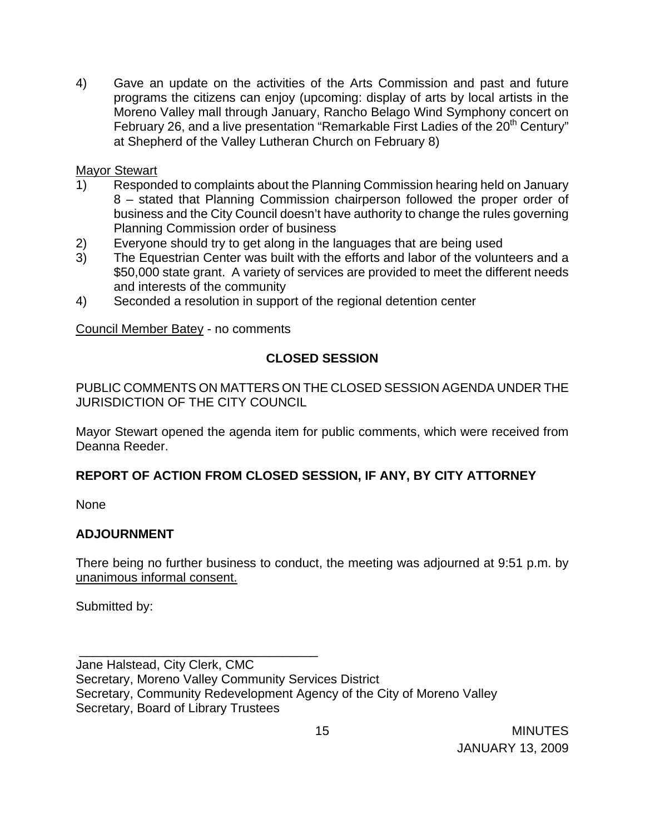4) Gave an update on the activities of the Arts Commission and past and future programs the citizens can enjoy (upcoming: display of arts by local artists in the Moreno Valley mall through January, Rancho Belago Wind Symphony concert on February 26, and a live presentation "Remarkable First Ladies of the 20<sup>th</sup> Century" at Shepherd of the Valley Lutheran Church on February 8)

## Mayor Stewart

- 1) Responded to complaints about the Planning Commission hearing held on January 8 – stated that Planning Commission chairperson followed the proper order of business and the City Council doesn't have authority to change the rules governing Planning Commission order of business
- 2) Everyone should try to get along in the languages that are being used
- 3) The Equestrian Center was built with the efforts and labor of the volunteers and a \$50,000 state grant. A variety of services are provided to meet the different needs and interests of the community
- 4) Seconded a resolution in support of the regional detention center

Council Member Batey - no comments

\_\_\_\_\_\_\_\_\_\_\_\_\_\_\_\_\_\_\_\_\_\_\_\_\_\_\_\_\_\_\_\_\_\_

# **CLOSED SESSION**

PUBLIC COMMENTS ON MATTERS ON THE CLOSED SESSION AGENDA UNDER THE JURISDICTION OF THE CITY COUNCIL

Mayor Stewart opened the agenda item for public comments, which were received from Deanna Reeder.

# **REPORT OF ACTION FROM CLOSED SESSION, IF ANY, BY CITY ATTORNEY**

None

# **ADJOURNMENT**

There being no further business to conduct, the meeting was adjourned at 9:51 p.m. by unanimous informal consent.

Submitted by:

Jane Halstead, City Clerk, CMC Secretary, Moreno Valley Community Services District Secretary, Community Redevelopment Agency of the City of Moreno Valley Secretary, Board of Library Trustees